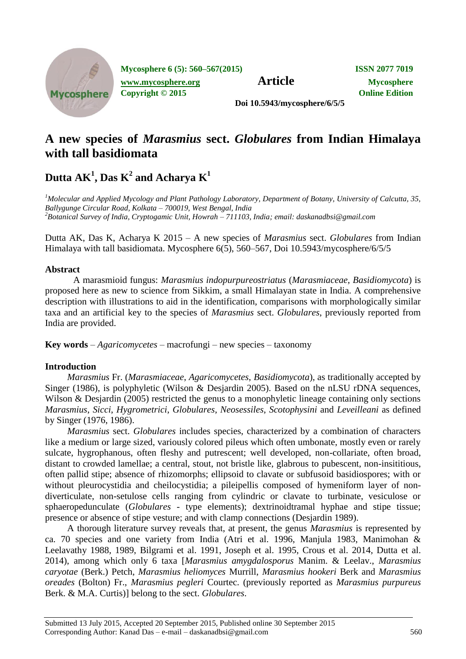

**Mycosphere 6 (5): 560–567(2015) ISSN 2077 7019**

**[www.mycosphere.org](http://www.mycosphere.org/) Article Mycosphere** 

**Copyright © 2015 Online Edition**

**Doi 10.5943/mycosphere/6/5/5**

# **A new species of** *Marasmius* **sect.** *Globulares* **from Indian Himalaya with tall basidiomata**

 $\mathbf{D}$ utta  $\mathbf{AK}^{1}$ ,  $\mathbf{Das}\ \mathbf{K}^{2}$  and  $\mathbf{A}$ charya  $\mathbf{K}^{1}$ 

*<sup>1</sup>Molecular and Applied Mycology and Plant Pathology Laboratory, Department of Botany, University of Calcutta, 35, Ballygunge Circular Road, Kolkata – 700019, West Bengal, India <sup>2</sup>Botanical Survey of India, Cryptogamic Unit, Howrah – 711103, India; email: daskanadbsi@gmail.com*

Dutta AK, Das K, Acharya K 2015 – A new species of *Marasmius* sect. *Globulares* from Indian Himalaya with tall basidiomata. Mycosphere 6(5), 560–567, Doi 10.5943/mycosphere/6/5/5

# **Abstract**

A marasmioid fungus: *Marasmius indopurpureostriatus* (*Marasmiaceae*, *Basidiomycota*) is proposed here as new to science from Sikkim, a small Himalayan state in India. A comprehensive description with illustrations to aid in the identification, comparisons with morphologically similar taxa and an artificial key to the species of *Marasmius* sect. *Globulares*, previously reported from India are provided.

**Key words** – *Agaricomycetes* – macrofungi – new species – taxonomy

# **Introduction**

*Marasmius* Fr. (*Marasmiaceae*, *Agaricomycetes*, *Basidiomycota*), as traditionally accepted by Singer (1986), is polyphyletic (Wilson & Desjardin 2005). Based on the nLSU rDNA sequences, Wilson & Desjardin (2005) restricted the genus to a monophyletic lineage containing only sections *Marasmius*, *Sicci*, *Hygrometrici*, *Globulares*, *Neosessiles*, *Scotophysini* and *Leveilleani* as defined by Singer (1976, 1986).

*Marasmius* sect. *Globulares* includes species, characterized by a combination of characters like a medium or large sized, variously colored pileus which often umbonate, mostly even or rarely sulcate, hygrophanous, often fleshy and putrescent; well developed, non-collariate, often broad, distant to crowded lamellae; a central, stout, not bristle like, glabrous to pubescent, non-insititious, often pallid stipe; absence of rhizomorphs; ellipsoid to clavate or subfusoid basidiospores; with or without pleurocystidia and cheilocystidia; a pileipellis composed of hymeniform layer of nondiverticulate, non-setulose cells ranging from cylindric or clavate to turbinate, vesiculose or sphaeropedunculate (*Globulares* - type elements); dextrinoidtramal hyphae and stipe tissue; presence or absence of stipe vesture; and with clamp connections (Desjardin 1989).

A thorough literature survey reveals that, at present, the genus *Marasmius* is represented by ca. 70 species and one variety from India (Atri et al. 1996, Manjula 1983, Manimohan & Leelavathy 1988, 1989, Bilgrami et al. 1991, Joseph et al. 1995, Crous et al. 2014, Dutta et al. 2014), among which only 6 taxa [*Marasmius amygdalosporus* Manim. & Leelav., *Marasmius caryotae* (Berk.) Petch, *Marasmius heliomyces* Murrill, *Marasmius hookeri* Berk and *Marasmius oreades* (Bolton) Fr., *Marasmius pegleri* Courtec. (previously reported as *Marasmius purpureus* Berk. & M.A. Curtis)] belong to the sect. *Globulares*.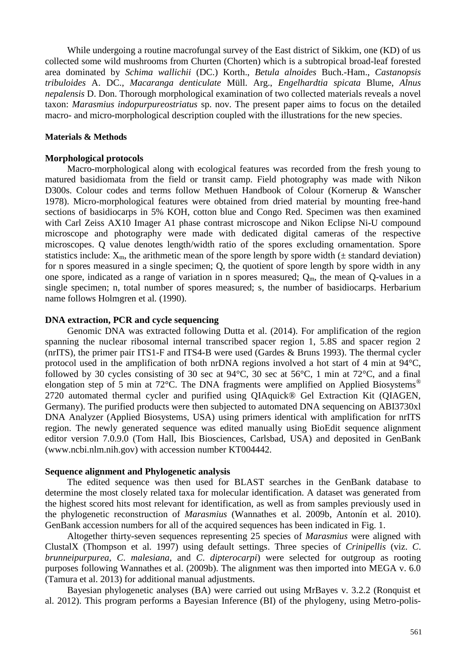While undergoing a routine macrofungal survey of the East district of Sikkim, one (KD) of us collected some wild mushrooms from Churten (Chorten) which is a subtropical broad-leaf forested area dominated by *Schima wallichii* (DC.) Korth., *Betula alnoides* Buch.-Ham., *Castanopsis tribuloides* A. DC., *Macaranga denticulate* Müll. Arg., *Engelhardtia spicata* Blume, *Alnus nepalensis* D. Don. Thorough morphological examination of two collected materials reveals a novel taxon: *Marasmius indopurpureostriatus* sp. nov. The present paper aims to focus on the detailed macro- and micro-morphological description coupled with the illustrations for the new species.

## **Materials & Methods**

#### **Morphological protocols**

Macro-morphological along with ecological features was recorded from the fresh young to matured basidiomata from the field or transit camp. Field photography was made with Nikon D300s. Colour codes and terms follow Methuen Handbook of Colour (Kornerup & Wanscher 1978). Micro-morphological features were obtained from dried material by mounting free-hand sections of basidiocarps in 5% KOH, cotton blue and Congo Red. Specimen was then examined with Carl Zeiss AX10 Imager A1 phase contrast microscope and Nikon Eclipse Ni-U compound microscope and photography were made with dedicated digital cameras of the respective microscopes. Q value denotes length/width ratio of the spores excluding ornamentation. Spore statistics include:  $X_m$ , the arithmetic mean of the spore length by spore width ( $\pm$  standard deviation) for n spores measured in a single specimen; Q, the quotient of spore length by spore width in any one spore, indicated as a range of variation in n spores measured;  $Q_m$ , the mean of Q-values in a single specimen; n, total number of spores measured; s, the number of basidiocarps. Herbarium name follows Holmgren et al*.* (1990).

## **DNA extraction, PCR and cycle sequencing**

Genomic DNA was extracted following Dutta et al. (2014). For amplification of the region spanning the nuclear ribosomal internal transcribed spacer region 1, 5.8S and spacer region 2 (nrITS), the primer pair ITS1-F and ITS4-B were used (Gardes & Bruns 1993). The thermal cycler protocol used in the amplification of both nrDNA regions involved a hot start of 4 min at 94°C, followed by 30 cycles consisting of 30 sec at 94°C, 30 sec at 56°C, 1 min at 72°C, and a final elongation step of 5 min at 72 $^{\circ}$ C. The DNA fragments were amplified on Applied Biosystems<sup>®</sup> 2720 automated thermal cycler and purified using QIAquick® Gel Extraction Kit (QIAGEN, Germany). The purified products were then subjected to automated DNA sequencing on ABI3730xl DNA Analyzer (Applied Biosystems, USA) using primers identical with amplification for nrITS region. The newly generated sequence was edited manually using BioEdit sequence alignment editor version 7.0.9.0 (Tom Hall, Ibis Biosciences, Carlsbad, USA) and deposited in GenBank (www.ncbi.nlm.nih.gov) with accession number KT004442.

#### **Sequence alignment and Phylogenetic analysis**

The edited sequence was then used for BLAST searches in the GenBank database to determine the most closely related taxa for molecular identification. A dataset was generated from the highest scored hits most relevant for identification, as well as from samples previously used in the phylogenetic reconstruction of *Marasmius* (Wannathes et al. 2009b, Antonín et al. 2010). GenBank accession numbers for all of the acquired sequences has been indicated in Fig. 1.

Altogether thirty-seven sequences representing 25 species of *Marasmius* were aligned with ClustalX (Thompson et al. 1997) using default settings. Three species of *Crinipellis* (viz. *C*. *brunneipurpurea*, *C*. *malesiana*, and *C*. *dipterocarpi*) were selected for outgroup as rooting purposes following Wannathes et al. (2009b). The alignment was then imported into MEGA v. 6.0 (Tamura et al. 2013) for additional manual adjustments.

Bayesian phylogenetic analyses (BA) were carried out using MrBayes v. 3.2.2 (Ronquist et al. 2012). This program performs a Bayesian Inference (BI) of the phylogeny, using Metro-polis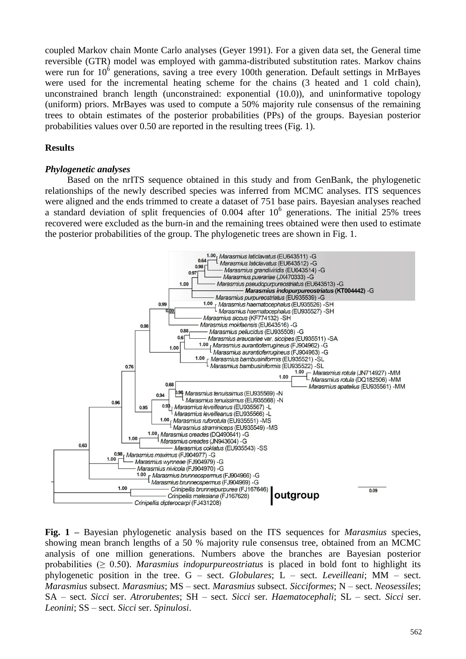coupled Markov chain Monte Carlo analyses (Geyer 1991). For a given data set, the General time reversible (GTR) model was employed with gamma-distributed substitution rates. Markov chains were run for  $10^6$  generations, saving a tree every 100th generation. Default settings in MrBayes were used for the incremental heating scheme for the chains (3 heated and 1 cold chain), unconstrained branch length (unconstrained: exponential (10.0)), and uninformative topology (uniform) priors. MrBayes was used to compute a 50% majority rule consensus of the remaining trees to obtain estimates of the posterior probabilities (PPs) of the groups. Bayesian posterior probabilities values over 0.50 are reported in the resulting trees (Fig. 1).

## **Results**

#### *Phylogenetic analyses*

Based on the nrITS sequence obtained in this study and from GenBank, the phylogenetic relationships of the newly described species was inferred from MCMC analyses. ITS sequences were aligned and the ends trimmed to create a dataset of 751 base pairs. Bayesian analyses reached a standard deviation of split frequencies of  $0.004$  after  $10^6$  generations. The initial 25% trees recovered were excluded as the burn-in and the remaining trees obtained were then used to estimate the posterior probabilities of the group. The phylogenetic trees are shown in Fig. 1.



**Fig. 1 –** Bayesian phylogenetic analysis based on the ITS sequences for *Marasmius* species, showing mean branch lengths of a 50 % majority rule consensus tree, obtained from an MCMC analysis of one million generations. Numbers above the branches are Bayesian posterior probabilities (≥ 0.50). *Marasmius indopurpureostriatus* is placed in bold font to highlight its phylogenetic position in the tree. G – sect. *Globulares*; L – sect. *Leveilleani*; MM – sect. *Marasmius* subsect. *Marasmius*; MS – sect. *Marasmius* subsect. *Sicciformes*; N – sect. *Neosessiles*; SA – sect. *Sicci* ser. *Atrorubentes*; SH – sect. *Sicci* ser. *Haematocephali*; SL – sect. *Sicci* ser. *Leonini*; SS – sect. *Sicci* ser. *Spinulosi*.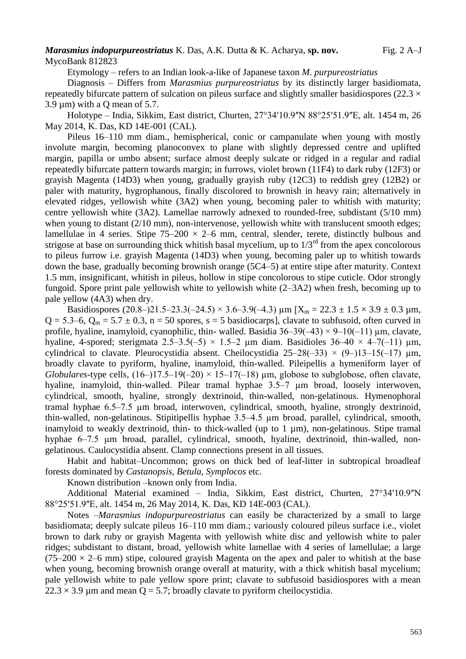#### *Marasmius indopurpureostriatus* K. Das, A.K. Dutta & K. Acharya, sp. nov. Fig. 2 A–J MycoBank 812823

Etymology – refers to an Indian look-a-like of Japanese taxon *M*. *purpureostriatus*

Diagnosis – Differs from *Marasmius purpureostriatus* by its distinctly larger basidiomata, repeatedly bifurcate pattern of sulcation on pileus surface and slightly smaller basidiospores (22.3  $\times$  $3.9 \text{ µm}$ ) with a Q mean of  $5.7$ .

Holotype – India, Sikkim, East district, Churten, 27°34'10.9"N 88°25'51.9"E, alt. 1454 m, 26 May 2014, K. Das, KD 14E-001 (CAL).

Pileus 16–110 mm diam., hemispherical, conic or campanulate when young with mostly involute margin, becoming planoconvex to plane with slightly depressed centre and uplifted margin, papilla or umbo absent; surface almost deeply sulcate or ridged in a regular and radial repeatedly bifurcate pattern towards margin; in furrows, violet brown (11F4) to dark ruby (12F3) or grayish Magenta (14D3) when young, gradually grayish ruby (12C3) to reddish grey (12B2) or paler with maturity, hygrophanous, finally discolored to brownish in heavy rain; alternatively in elevated ridges, yellowish white (3A2) when young, becoming paler to whitish with maturity; centre yellowish white (3A2). Lamellae narrowly adnexed to rounded-free, subdistant (5/10 mm) when young to distant (2/10 mm), non-intervenose, yellowish white with translucent smooth edges; lamellulae in 4 series. Stipe  $75-200 \times 2-6$  mm, central, slender, terete, distinctly bulbous and strigose at base on surrounding thick whitish basal mycelium, up to  $1/3<sup>rd</sup>$  from the apex concolorous to pileus furrow i.e. grayish Magenta (14D3) when young, becoming paler up to whitish towards down the base, gradually becoming brownish orange (5C4–5) at entire stipe after maturity. Context 1.5 mm, insignificant, whitish in pileus, hollow in stipe concolorous to stipe cuticle. Odor strongly fungoid. Spore print pale yellowish white to yellowish white (2–3A2) when fresh, becoming up to pale yellow (4A3) when dry.

Basidiospores (20.8–)21.5–23.3(–24.5) × 3.6–3.9(–4.3)  $\mu$ m [X<sub>m</sub> = 22.3 ± 1.5 × 3.9 ± 0.3  $\mu$ m,  $Q = 5.3-6$ ,  $Q_m = 5.7 \pm 0.3$ , n = 50 spores, s = 5 basidiocarps], clavate to subfusoid, often curved in profile, hyaline, inamyloid, cyanophilic, thin- walled. Basidia  $36-39(-43) \times 9-10(-11)$  µm, clavate, hyaline, 4-spored; sterigmata  $2.5-3.5(-5) \times 1.5-2$  µm diam. Basidioles  $36-40 \times 4-7(-11)$  µm, cylindrical to clavate. Pleurocystidia absent. Cheilocystidia  $25-28(-33) \times (9-13-15(-17))$  µm, broadly clavate to pyriform, hyaline, inamyloid, thin-walled. Pileipellis a hymeniform layer of *Globulares*-type cells,  $(16-17.5-19(-20) \times 15-17(-18)$  µm, globose to subglobose, often clavate, hyaline, inamyloid, thin-walled. Pilear tramal hyphae 3.5–7  $\mu$ m broad, loosely interwoven, cylindrical, smooth, hyaline, strongly dextrinoid, thin-walled, non-gelatinous. Hymenophoral tramal hyphae 6.5‒7.5 µm broad, interwoven, cylindrical, smooth, hyaline, strongly dextrinoid, thin-walled, non-gelatinous. Stipitipellis hyphae 3.5‒4.5 µm broad, parallel, cylindrical, smooth, inamyloid to weakly dextrinoid, thin- to thick-walled (up to  $1 \mu m$ ), non-gelatinous. Stipe tramal hyphae 6–7.5 µm broad, parallel, cylindrical, smooth, hyaline, dextrinoid, thin-walled, nongelatinous. Caulocystidia absent. Clamp connections present in all tissues.

Habit and habitat–Uncommon; grows on thick bed of leaf-litter in subtropical broadleaf forests dominated by *Castanopsis*, *Betula*, *Symplocos* etc.

Known distribution –known only from India.

Additional Material examined – India, Sikkim, East district, Churten, 27°34'10.9"N 88°25ʹ51.9ʺE, alt. 1454 m, 26 May 2014, K. Das, KD 14E-003 (CAL).

Notes –*Marasmius indopurpureostriatus* can easily be characterized by a small to large basidiomata; deeply sulcate pileus 16–110 mm diam.; variously coloured pileus surface i.e., violet brown to dark ruby or grayish Magenta with yellowish white disc and yellowish white to paler ridges; subdistant to distant, broad, yellowish white lamellae with 4 series of lamellulae; a large  $(75-200 \times 2-6 \text{ mm})$  stipe, coloured grayish Magenta on the apex and paler to whitish at the base when young, becoming brownish orange overall at maturity, with a thick whitish basal mycelium; pale yellowish white to pale yellow spore print; clavate to subfusoid basidiospores with a mean  $22.3 \times 3.9$  µm and mean Q = 5.7; broadly clavate to pyriform cheilocystidia.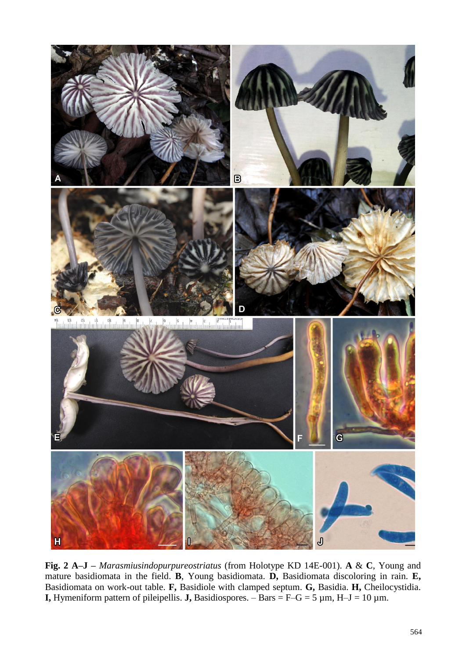

**Fig. 2 A–J –** *Marasmiusindopurpureostriatus* (from Holotype KD 14E-001). **A** & **C**, Young and mature basidiomata in the field. **B**, Young basidiomata. **D,** Basidiomata discoloring in rain. **E,** Basidiomata on work-out table. **F,** Basidiole with clamped septum. **G,** Basidia. **H,** Cheilocystidia. **I,** Hymeniform pattern of pileipellis. **J,** Basidiospores.  $-$  Bars = F–G = 5  $\mu$ m, H–J = 10  $\mu$ m.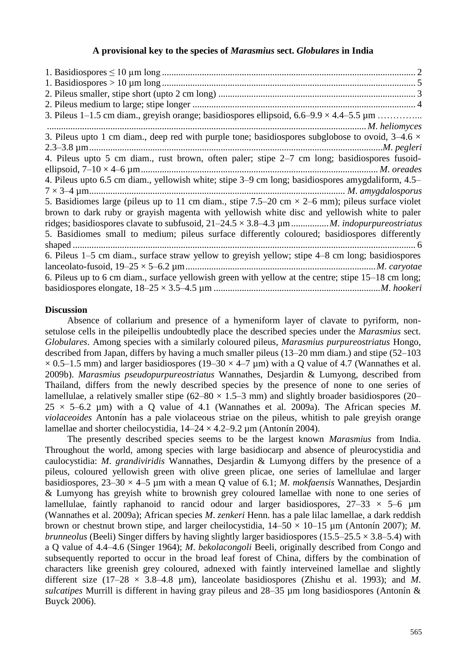## **A provisional key to the species of** *Marasmius* **sect.** *Globulares* **in India**

| 3. Pileus upto 1 cm diam., deep red with purple tone; basidiospores subglobose to ovoid, $3-4.6 \times$ |  |
|---------------------------------------------------------------------------------------------------------|--|
|                                                                                                         |  |
| 4. Pileus upto 5 cm diam., rust brown, often paler; stipe 2-7 cm long; basidiospores fusoid-            |  |
|                                                                                                         |  |
| 4. Pileus upto 6.5 cm diam., yellowish white; stipe 3–9 cm long; basidiospores amygdaliform, 4.5–       |  |
|                                                                                                         |  |
| 5. Basidiomes large (pileus up to 11 cm diam., stipe 7.5–20 cm $\times$ 2–6 mm); pileus surface violet  |  |
| brown to dark ruby or grayish magenta with yellowish white disc and yellowish white to paler            |  |
|                                                                                                         |  |
| 5. Basidiomes small to medium; pileus surface differently coloured; basidiospores differently           |  |
|                                                                                                         |  |
| 6. Pileus 1-5 cm diam., surface straw yellow to greyish yellow; stipe 4-8 cm long; basidiospores        |  |
|                                                                                                         |  |
| 6. Pileus up to 6 cm diam., surface yellowish green with yellow at the centre; stipe 15–18 cm long;     |  |
|                                                                                                         |  |

## **Discussion**

Absence of collarium and presence of a hymeniform layer of clavate to pyriform, nonsetulose cells in the pileipellis undoubtedly place the described species under the *Marasmius* sect. *Globulares*. Among species with a similarly coloured pileus, *Marasmius purpureostriatus* Hongo, described from Japan, differs by having a much smaller pileus (13–20 mm diam.) and stipe (52–103  $\times$  0.5–1.5 mm) and larger basidiospores (19–30  $\times$  4–7 µm) with a Q value of 4.7 (Wannathes et al. 2009b). *Marasmius pseudopurpureostriatus* Wannathes, Desjardin & Lumyong, described from Thailand, differs from the newly described species by the presence of none to one series of lamellulae, a relatively smaller stipe  $(62–80 \times 1.5–3 \text{ mm})$  and slightly broader basidiospores (20–  $25 \times 5-6.2$  µm) with a Q value of 4.1 (Wannathes et al. 2009a). The African species M. *violaceoides* Antonín has a pale violaceous striae on the pileus, whitish to pale greyish orange lamellae and shorter cheilocystidia,  $14-24 \times 4.2-9.2 \mu m$  (Antonín 2004).

The presently described species seems to be the largest known *Marasmius* from India. Throughout the world, among species with large basidiocarp and absence of pleurocystidia and caulocystidia: *M*. *grandiviridis* Wannathes, Desjardin & Lumyong differs by the presence of a pileus, coloured yellowish green with olive green plicae, one series of lamellulae and larger basidiospores, 23–30 × 4–5 µm with a mean Q value of 6.1; *M*. *mokfaensis* Wannathes, Desjardin & Lumyong has greyish white to brownish grey coloured lamellae with none to one series of lamellulae, faintly raphanoid to rancid odour and larger basidiospores,  $27-33 \times 5-6 \mu m$ (Wannathes et al. 2009a); African species *M*. *zenkeri* Henn. has a pale lilac lamellae, a dark reddish brown or chestnut brown stipe, and larger cheilocystidia, 14–50 × 10–15 µm (Antonín 2007); *M*. *brunneolus* (Beeli) Singer differs by having slightly larger basidiospores (15.5–25.5  $\times$  3.8–5.4) with a Q value of 4.4–4.6 (Singer 1964); *M*. *bekolacongoli* Beeli, originally described from Congo and subsequently reported to occur in the broad leaf forest of China, differs by the combination of characters like greenish grey coloured, adnexed with faintly interveined lamellae and slightly different size  $(17-28 \times 3.8-4.8 \text{ µm})$ , lanceolate basidiospores (Zhishu et al. 1993); and M. *sulcatipes* Murrill is different in having gray pileus and 28–35 µm long basidiospores (Antonín & Buyck 2006).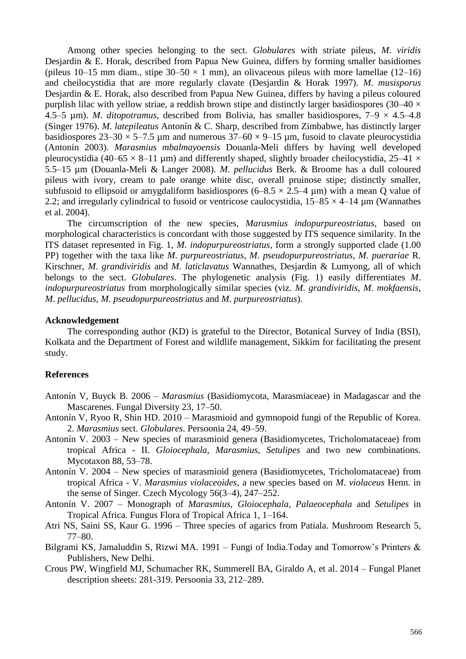Among other species belonging to the sect. *Globulares* with striate pileus, *M*. *viridis* Desjardin & E. Horak, described from Papua New Guinea, differs by forming smaller basidiomes (pileus 10–15 mm diam., stipe  $30-50 \times 1$  mm), an olivaceous pileus with more lamellae (12–16) and cheilocystidia that are more regularly clavate (Desjardin & Horak 1997). *M*. *musisporus* Desjardin & E. Horak, also described from Papua New Guinea, differs by having a pileus coloured purplish lilac with yellow striae, a reddish brown stipe and distinctly larger basidiospores (30–40  $\times$ 4.5–5 µm). *M. ditopotramus*, described from Bolivia, has smaller basidiospores,  $7-9 \times 4.5-4.8$ (Singer 1976). *M*. *latepileatus* Antonín & C. Sharp, described from Zimbabwe, has distinctly larger basidiospores  $23-30 \times 5-7.5$  µm and numerous  $37-60 \times 9-15$  µm, fusoid to clavate pleurocystidia (Antonín 2003). *Marasmius mbalmayoensis* Douanla-Meli differs by having well developed pleurocystidia (40–65  $\times$  8–11 µm) and differently shaped, slightly broader cheilocystidia, 25–41  $\times$ 5.5–15 µm (Douanla-Meli & Langer 2008). *M*. *pellucidus* Berk. & Broome has a dull coloured pileus with ivory, cream to pale orange white disc, overall pruinose stipe; distinctly smaller, subfusoid to ellipsoid or amygdaliform basidiospores  $(6-8.5 \times 2.5-4 \mu m)$  with a mean Q value of 2.2; and irregularly cylindrical to fusoid or ventricose caulocystidia,  $15-85 \times 4-14$  µm (Wannathes et al. 2004).

The circumscription of the new species, *Marasmius indopurpureostriatus*, based on morphological characteristics is concordant with those suggested by ITS sequence similarity. In the ITS dataset represented in Fig. 1, *M*. *indopurpureostriatus*, form a strongly supported clade (1.00 PP) together with the taxa like *M*. *purpureostriatus*, *M*. *pseudopurpureostriatus*, *M*. *puerariae* R. Kirschner, *M*. *grandiviridis* and *M*. *laticlavatus* Wannathes, Desjardin & Lumyong, all of which belongs to the sect. *Globulares*. The phylogenetic analysis (Fig. 1) easily differentiates *M*. *indopurpureostriatus* from morphologically similar species (viz. *M*. *grandiviridis*, *M*. *mokfaensis*, *M*. *pellucidus*, *M*. *pseudopurpureostriatus* and *M*. *purpureostriatus*).

#### **Acknowledgement**

The corresponding author (KD) is grateful to the Director, Botanical Survey of India (BSI), Kolkata and the Department of Forest and wildlife management, Sikkim for facilitating the present study.

### **References**

- Antonín V, Buyck B. 2006 *Marasmius* (Basidiomycota, Marasmiaceae) in Madagascar and the Mascarenes. Fungal Diversity 23, 17–50.
- Antonín V, Ryoo R, Shin HD. 2010 Marasmioid and gymnopoid fungi of the Republic of Korea. 2. *Marasmius* sect. *Globulares*. Persoonia 24, 49–59.
- Antonín V. 2003 New species of marasmioid genera (Basidiomycetes, Tricholomataceae) from tropical Africa - II. *Gloiocephala*, *Marasmius*, *Setulipes* and two new combinations. Mycotaxon 88, 53–78.
- Antonín V. 2004 New species of marasmioid genera (Basidiomycetes, Tricholomataceae) from tropical Africa - V. *Marasmius violaceoides*, a new species based on *M*. *violaceus* Henn. in the sense of Singer. Czech Mycology 56(3–4), 247–252.
- Antonín V. 2007 Monograph of *Marasmius*, *Gloiocephala*, *Palaeocephala* and *Setulipes* in Tropical Africa. Fungus Flora of Tropical Africa 1, 1–164.
- Atri NS, Saini SS, Kaur G. 1996 Three species of agarics from Patiala. Mushroom Research 5, 77–80.
- Bilgrami KS, Jamaluddin S, Rizwi MA. 1991 Fungi of India.Today and Tomorrow's Printers & Publishers, New Delhi.
- Crous PW, Wingfield MJ, Schumacher RK, Summerell BA, Giraldo A, et al. 2014 Fungal Planet description sheets: 281-319. Persoonia 33, 212–289.